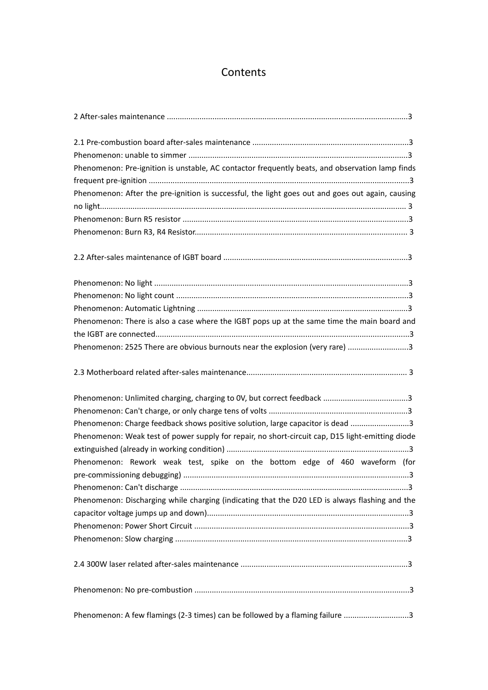# **Contents**

| Phenomenon: Pre-ignition is unstable, AC contactor frequently beats, and observation lamp finds  |  |
|--------------------------------------------------------------------------------------------------|--|
|                                                                                                  |  |
| Phenomenon: After the pre-ignition is successful, the light goes out and goes out again, causing |  |
|                                                                                                  |  |
|                                                                                                  |  |
|                                                                                                  |  |
|                                                                                                  |  |
|                                                                                                  |  |
|                                                                                                  |  |
|                                                                                                  |  |
| Phenomenon: There is also a case where the IGBT pops up at the same time the main board and      |  |
|                                                                                                  |  |
| Phenomenon: 2525 There are obvious burnouts near the explosion (very rare) 3                     |  |
|                                                                                                  |  |
|                                                                                                  |  |
|                                                                                                  |  |
| Phenomenon: Charge feedback shows positive solution, large capacitor is dead 3                   |  |
| Phenomenon: Weak test of power supply for repair, no short-circuit cap, D15 light-emitting diode |  |
|                                                                                                  |  |
| Phenomenon: Rework weak test, spike on the bottom edge of 460 waveform (for                      |  |
|                                                                                                  |  |
|                                                                                                  |  |
| Phenomenon: Discharging while charging (indicating that the D20 LED is always flashing and the   |  |
|                                                                                                  |  |
|                                                                                                  |  |
|                                                                                                  |  |
|                                                                                                  |  |
|                                                                                                  |  |
| Phenomenon: A few flamings (2-3 times) can be followed by a flaming failure 3                    |  |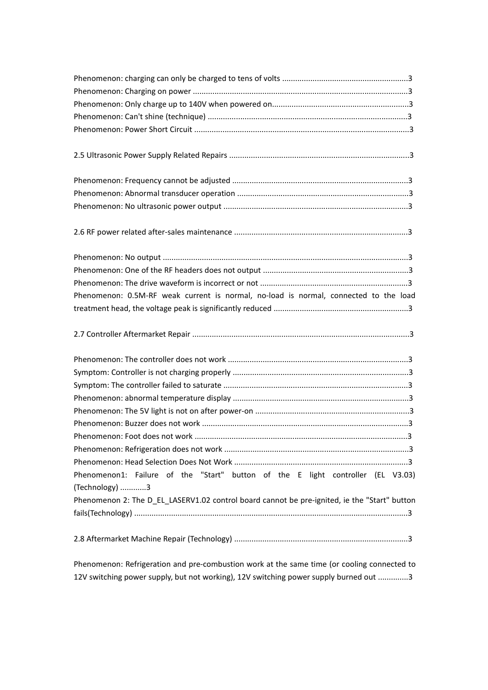| Phenomenon 2: The D_EL_LASERV1.02 control board cannot be pre-ignited, ie the "Start" button |                                                                                      |
|----------------------------------------------------------------------------------------------|--------------------------------------------------------------------------------------|
|                                                                                              |                                                                                      |
|                                                                                              |                                                                                      |
|                                                                                              |                                                                                      |
|                                                                                              |                                                                                      |
|                                                                                              |                                                                                      |
|                                                                                              |                                                                                      |
|                                                                                              |                                                                                      |
|                                                                                              |                                                                                      |
|                                                                                              |                                                                                      |
|                                                                                              |                                                                                      |
|                                                                                              |                                                                                      |
|                                                                                              |                                                                                      |
|                                                                                              | Phenomenon: 0.5M-RF weak current is normal, no-load is normal, connected to the load |
|                                                                                              |                                                                                      |
|                                                                                              |                                                                                      |
|                                                                                              |                                                                                      |
|                                                                                              |                                                                                      |
|                                                                                              |                                                                                      |
|                                                                                              |                                                                                      |
|                                                                                              |                                                                                      |
|                                                                                              |                                                                                      |
|                                                                                              |                                                                                      |
|                                                                                              |                                                                                      |
|                                                                                              |                                                                                      |
|                                                                                              | Phenomenon1: Failure of the "Start" button of the E light controller (EL V3.03)      |
|                                                                                              | (Technology) 3                                                                       |
|                                                                                              |                                                                                      |
|                                                                                              |                                                                                      |
|                                                                                              |                                                                                      |

Phenomenon: Refrigeration and pre-combustion work at the same time (or cooling connected to 12V switching power supply, but not working), 12V switching power supply burned out ..............3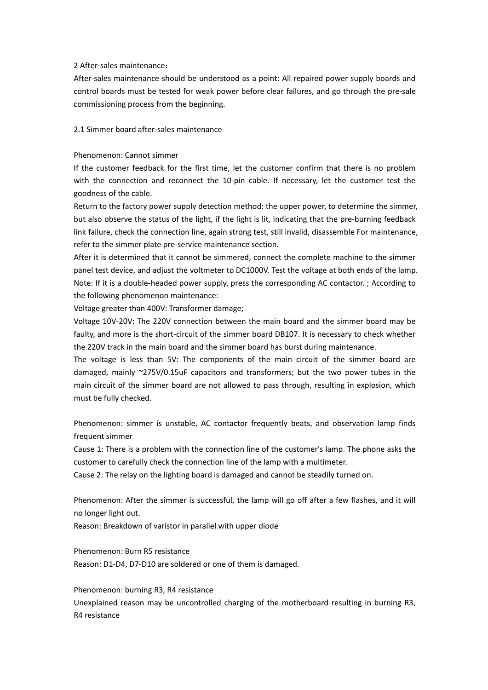## 2 After-sales maintenance:

After-sales maintenance should be understood as a point: All repaired power supply boards and control boards must be tested for weak power before clear failures, and go through the pre-sale commissioning process from the beginning.

2.1 Simmer board after-sales maintenance

#### Phenomenon: Cannot simmer

If the customer feedback for the first time, let the customer confirm that there is no problem with the connection and reconnect the 10-pin cable. If necessary, let the customer test the goodness of the cable.

Return to the factory power supply detection method: the upper power, to determine the simmer, but also observe the status of the light, if the light is lit, indicating that the pre-burning feedback link failure, check the connection line, again strong test, still invalid, disassemble For maintenance, refer to the simmer plate pre-service maintenance section.

After it is determined that it cannot be simmered, connect the complete machine to the simmer panel test device, and adjust the voltmeter to DC1000V. Test the voltage at both ends of the lamp. Note: If it is a double-headed power supply, press the corresponding AC contactor. ; According to the following phenomenon maintenance:

Voltage greater than 400V: Transformer damage;

Voltage 10V-20V: The 220V connection between the main board and the simmer board may be faulty, and more is the short-circuit of the simmer board DB107. It is necessary to check whether the 220V track in the main board and the simmer board has burst during maintenance.

The voltage is less than 5V: The components of the main circuit of the simmer board are damaged, mainly ~275V/0.15uF capacitors and transformers; but the two power tubes in the main circuit of the simmer board are not allowed to pass through, resulting in explosion, which must be fully checked.<br>Phenomenon: simmer is unstable, AC contactor frequently beats, and observation lamp finds

frequent simmer

Cause 1: There is a problem with the connection line of the customer's lamp. The phone asks the customer to carefully check the connection line of the lamp with a multimeter.

Cause 2: The relay on the lighting board is damaged and cannot be steadily turned on.

Phenomenon: After the simmer is successful, the lamp will go off after a few flashes, and it will no longer light out.

Reason: Breakdown of varistor in parallel with upper diode

Phenomenon: Burn R5 resistance Reason: D1-D4, D7-D10 are soldered or one of them is damaged.

Phenomenon: burning R3, R4 resistance Unexplained reason may be uncontrolled charging of the motherboard resulting in burning R3,<br>R4 resistance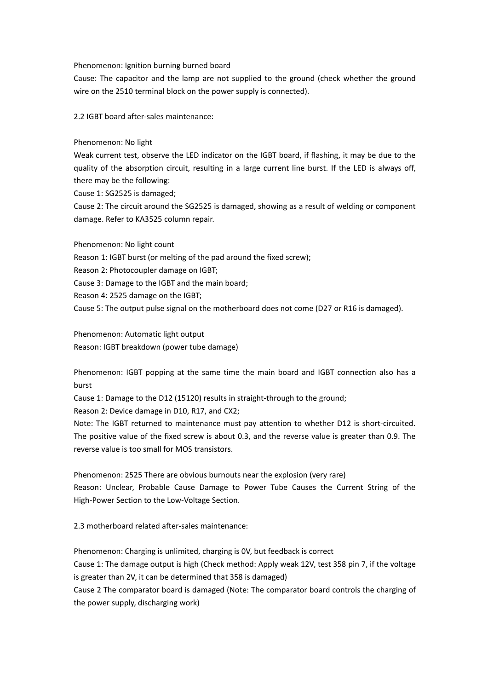### Phenomenon: Ignition burning burned board

Cause: The capacitor and the lamp are not supplied to the ground (check whether the ground wire on the 2510 terminal block on the power supply is connected).

2.2 IGBT board after-sales maintenance:

Phenomenon: No light

Weak current test, observe the LED indicator on the IGBT board, if flashing, it may be due to the quality of the absorption circuit, resulting in a large current line burst. If the LED is always off, there may be the following:

Cause 1: SG2525 is damaged;

Cause 2: The circuit around the SG2525 is damaged, showing as a result of welding or component damage. Refer to KA3525 column repair.

Phenomenon: No light count Reason 1: IGBT burst (or melting of the pad around the fixed screw); Reason 2: Photocoupler damage on IGBT; Cause 3: Damage to the IGBT and the main board; Reason 4: 2525 damage on the IGBT; Cause 5: The output pulse signal on the motherboard does not come (D27 or R16 is damaged).

Phenomenon: Automatic light output Reason: IGBT breakdown (power tube damage)

Phenomenon: IGBT popping at the same time the main board and IGBT connection also has a burst

Cause 1: Damage to the D12 (15120) results in straight-through to the ground;

Reason 2: Device damage in D10, R17, and CX2;

Note: The IGBT returned to maintenance must pay attention to whether D12 is short-circuited. The positive value of the fixed screw is about 0.3, and the reverse value is greater than 0.9. The reverse value is too small for MOS transistors.

Phenomenon: 2525 There are obvious burnouts near the explosion (very rare) Reason: Unclear, Probable Cause Damage to Power Tube Causes the Current String of the High-Power Section to the Low-Voltage Section.

2.3 motherboard related after-sales maintenance:

Phenomenon: Charging is unlimited, charging is 0V, but feedback is correct Cause 1: The damage output is high (Check method: Apply weak 12V, test 358 pin 7, if the voltage is greater than 2V, it can be determined that 358 is damaged) Cause 2 The comparator board is damaged (Note: The comparator board controls the charging of

the power supply, discharging work)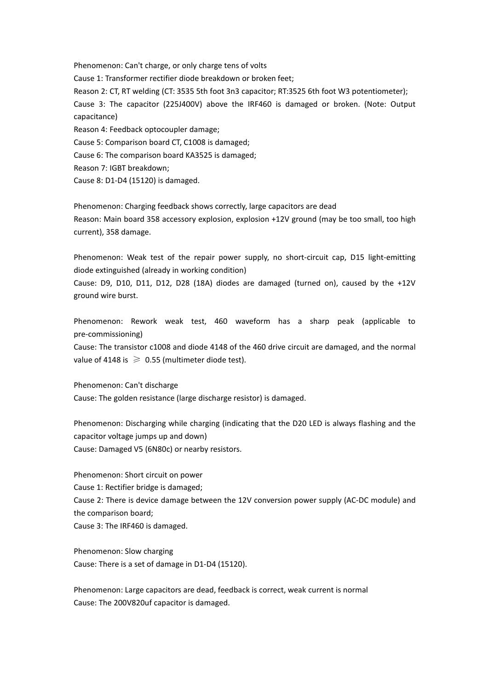Phenomenon: Can't charge, or only charge tens of volts

Cause 1: Transformer rectifier diode breakdown or broken feet;

Reason 2: CT, RT welding (CT: 3535 5th foot 3n3 capacitor; RT:3525 6th foot W3 potentiometer);

Cause 3: The capacitor (225J400V) above the IRF460 is damaged or broken. (Note: Output capacitance)

Reason 4: Feedback optocoupler damage;

Cause 5: Comparison board CT, C1008 is damaged;

Cause 6: The comparison board KA3525 is damaged;

Reason 7: IGBT breakdown;

Cause 8: D1-D4 (15120) is damaged.

Phenomenon: Charging feedback shows correctly, large capacitors are dead Reason: Main board 358 accessory explosion, explosion +12V ground (may be too small, too high current), 358 damage.

Phenomenon: Weak test of the repair power supply, no short-circuit cap. D15 light-emitting diode extinguished (already in working condition)

Cause: D9, D10, D11, D12, D28 (18A) diodes are damaged (turned on), caused by the +12V ground wire burst.

Phenomenon: Rework weak test, 460 waveform has a sharp peak (applicable to pre-commissioning)

Cause: The transistor c1008 and diode 4148 of the 460 drive circuit are damaged, and the normal value of 4148 is  $\geq$  0.55 (multimeter diode test).

Phenomenon: Can't discharge

Cause: The golden resistance (large discharge resistor) is damaged.

Phenomenon: Discharging while charging (indicating that the D20 LED is always flashing and the capacitor voltage jumps up and down) Cause: Damaged V5 (6N80c) or nearby resistors.

Phenomenon: Short circuit on power Cause 1: Rectifier bridge is damaged; Cause 2: There is device damage between the 12V conversion power supply (AC-DC module) and the comparison board; Cause 3: The IRF460 is damaged.

Phenomenon: Slow charging Cause: There is a set of damage in D1-D4 (15120).

Phenomenon: Large capacitors are dead, feedback is correct, weak current is normal Cause: The 200V820uf capacitor is damaged.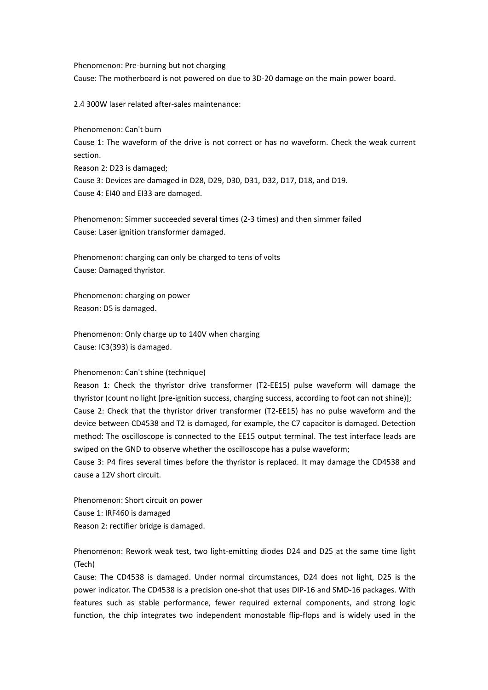Phenomenon: Pre-burning but not charging Cause: The motherboard is not powered on due to 3D-20 damage on the main power board.

2.4 300W laser related after-sales maintenance:

Phenomenon: Can't burn Cause 1: The waveform of the drive is not correct or has no waveform. Check the weak current section. Reason 2: D23 is damaged; Cause 3: Devices are damaged in D28, D29, D30, D31, D32, D17, D18, and D19. Cause 4: EI40 and EI33 are damaged.

Phenomenon: Simmer succeeded several times (2-3 times) and then simmer failed Cause: Laser ignition transformer damaged.

Phenomenon: charging can only be charged to tens of volts Cause: Damaged thyristor.

Phenomenon: charging on power Reason: D5 is damaged.

Phenomenon: Only charge up to 140V when charging Cause: IC3(393) is damaged.

### Phenomenon: Can't shine (technique)

Reason 1: Check the thyristor drive transformer (T2-EE15) pulse waveform will damage the thyristor (count no light [pre-ignition success, charging success, according to foot can not shine)]; Cause 2: Check that the thyristor driver transformer (T2-EE15) has no pulse waveform and the device between CD4538 and T2 is damaged, for example, the C7 capacitor is damaged. Detection method: The oscilloscope is connected to the EE15 output terminal. The test interface leads are swiped on the GND to observe whether the oscilloscope has a pulse waveform;

Cause 3: P4 fires several times before the thyristor is replaced. It may damage the CD4538 and cause a 12V short circuit.

Phenomenon: Short circuit on power Cause 1: IRF460 is damaged Reason 2: rectifier bridge is damaged.

Phenomenon: Rework weak test, two light-emitting diodes D24 and D25 at the same time light (Tech)

Cause: The CD4538 is damaged. Under normal circumstances, D24 does not light, D25 is the power indicator. The CD4538 is a precision one-shot that uses DIP-16 and SMD-16 packages. With features such as stable performance, fewer required external components, and strong logic function, the chip integrates two independent monostable flip-flops and is widely used in the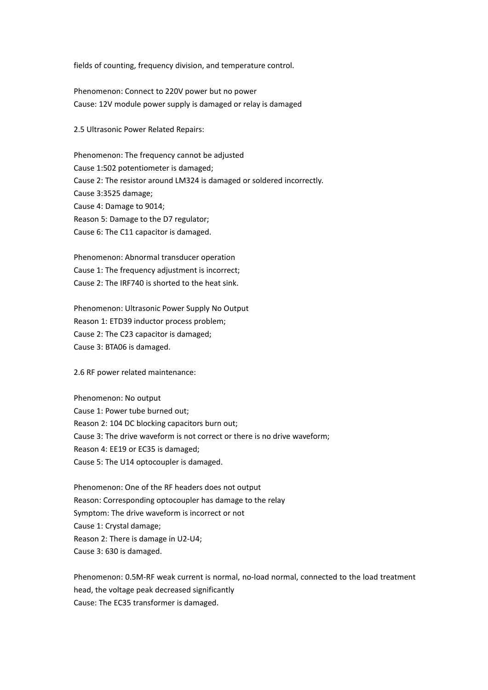fields of counting, frequency division, and temperature control.

Phenomenon: Connect to 220V power but no power Cause: 12V module power supply is damaged or relay is damaged

2.5 Ultrasonic Power Related Repairs:

Phenomenon: The frequency cannot be adjusted Cause 1:502 potentiometer is damaged; Cause 2: The resistor around LM324 is damaged or soldered incorrectly. Cause 3:3525 damage; Cause 4: Damage to 9014; Reason 5: Damage to the D7 regulator; Cause 6: The C11 capacitor is damaged.

Phenomenon: Abnormal transducer operation Cause 1: The frequency adjustment is incorrect; Cause 2: The IRF740 is shorted to the heat sink.

Phenomenon: Ultrasonic Power Supply No Output Reason 1: ETD39 inductor process problem; Cause 2: The C23 capacitor is damaged; Cause 3: BTA06 is damaged.

2.6 RF power related maintenance:

Phenomenon: No output Cause 1: Power tube burned out; Reason 2: 104 DC blocking capacitors burn out; Cause 3: The drive waveform is not correct or there is no drive waveform; Reason 4: EE19 or EC35 is damaged; Cause 5: The U14 optocoupler is damaged.

Phenomenon: One of the RF headers does not output Reason: Corresponding optocoupler has damage to the relay Symptom: The drive waveform is incorrect or not Cause 1: Crystal damage; Reason 2: There is damage in U2-U4; Cause 3: 630 is damaged.

Phenomenon: 0.5M-RF weak current is normal, no-load normal, connected to the load treatment head, the voltage peak decreased significantly Cause: The EC35 transformer is damaged.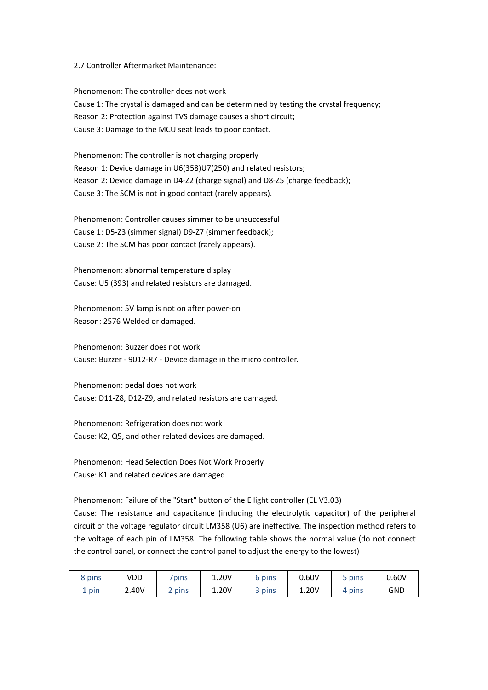### 2.7 Controller Aftermarket Maintenance:

Phenomenon: The controller does not work Cause 1: The crystal is damaged and can be determined by testing the crystal frequency; Reason 2: Protection against TVS damage causes a short circuit; Cause 3: Damage to the MCU seat leads to poor contact.

Phenomenon: The controller is not charging properly Reason 1: Device damage in U6(358)U7(250) and related resistors; Reason 2: Device damage in D4-Z2 (charge signal) and D8-Z5 (charge feedback); Cause 3: The SCM is not in good contact (rarely appears).

Phenomenon: Controller causes simmer to be unsuccessful Cause 1: D5-Z3 (simmer signal) D9-Z7 (simmer feedback); Cause 2: The SCM has poor contact (rarely appears).

Phenomenon: abnormal temperature display Cause: U5 (393) and related resistors are damaged.

Phenomenon: 5V lamp is not on after power-on Reason: 2576 Welded or damaged.

Phenomenon: Buzzer does not work Cause: Buzzer - 9012-R7 - Device damage in the micro controller.

Phenomenon: pedal does not work Cause: D11-Z8, D12-Z9, and related resistors are damaged.

Phenomenon: Refrigeration does not work Cause: K2, Q5, and other related devices are damaged.

Phenomenon: Head Selection Does Not Work Properly Cause: K1 and related devices are damaged.

Phenomenon: Failure of the "Start" button of the E light controller (EL V3.03)

Cause: The resistance and capacitance (including the electrolytic capacitor) of the peripheral circuit of the voltage regulator circuit LM358 (U6) are ineffective. The inspection method refers to the voltage of each pin of LM358. The following table shows the normal value (do not connect the control panel, or connect the control panel to adjust the energy to the lowest)

| 8 pins | VDD   | 7pins     | 1.20V | 6 pins | 0.60V | pins | 0.60V      |
|--------|-------|-----------|-------|--------|-------|------|------------|
| pin    | 2.40V | pins<br>- | 1.20V | 3 pins | 1.20V | pins | <b>GND</b> |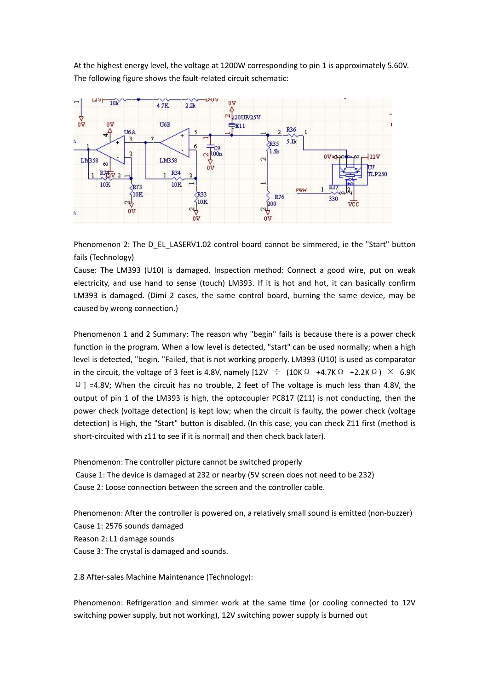At the highest energy level, the voltage at 1200W corresponding to pin 1 is approximately 5.60V. The following figure shows the fault-related circuit schematic:



Phenomenon 2: The D\_EL\_LASERV1.02 control board cannot be simmered, ie the "Start" button fails (Technology)

Cause: The LM393 (U10) is damaged. Inspection method: Connect a good wire, put on weak electricity, and use hand to sense (touch) LM393. If it is hot and hot, it can basically confirm LM393 is damaged. (Dimi 2 cases, the same control board, burning the same device, may be caused by wrong connection.)

Phenomenon 1 and 2 Summary: The reason why "begin" fails is because there is a power check function in the program. When a low level is detected, "start" can be used normally; when a high level is detected, "begin. "Failed, that is not working properly. LM393 (U10) is used as comparator in the circuit, the voltage of 3 feet is 4.8V, namely  $[12V \div (10K\Omega +4.7K\Omega +2.2K\Omega) \times 6.9K$  $\Omega$  ] =4.8V; When the circuit has no trouble, 2 feet of The voltage is much less than 4.8V, the output of pin 1 of the LM393 is high, the optocoupler PC817 (Z11) is not conducting, then the power check (voltage detection) is kept low; when the circuit is faulty, the power check (voltage detection) is High, the "Start" button is disabled. (In this case, you can check Z11 first (method is short-circuited with z11 to see if it is normal) and then check back later).

Phenomenon: The controller picture cannot be switched properly Cause 1: The device is damaged at 232 or nearby (5V screen does not need to be 232) Cause 2: Loose connection between the screen and the controller cable.

Phenomenon: After the controller is powered on, a relatively small sound is emitted (non-buzzer) Cause 1: 2576 sounds damaged Reason 2: L1 damage sounds Cause 3: The crystal is damaged and sounds.<br>2.8 After-sales Machine Maintenance (Technology):

Phenomenon: Refrigeration and simmer work at the same time (or cooling connected to 12V switching power supply, but not working), 12V switching power supply is burned out